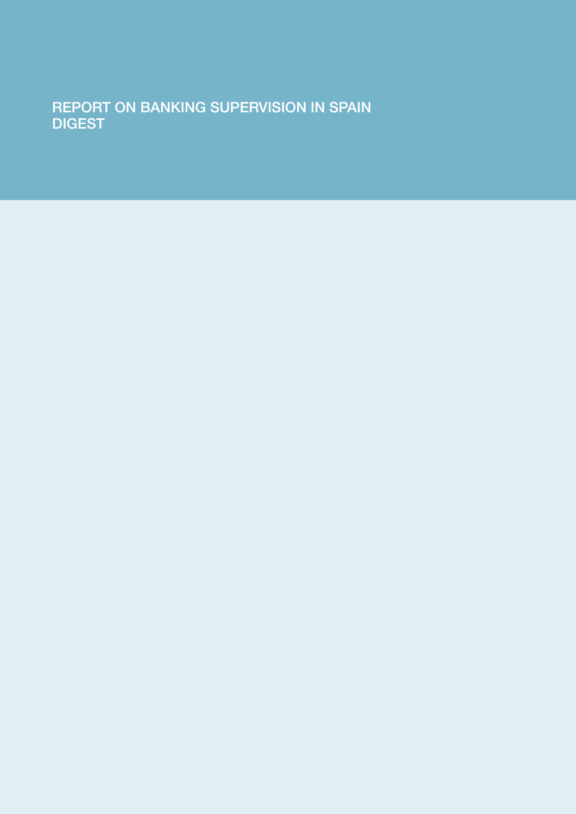REPORT ON BANKING SUPERVISION IN SPAIN **DIGEST**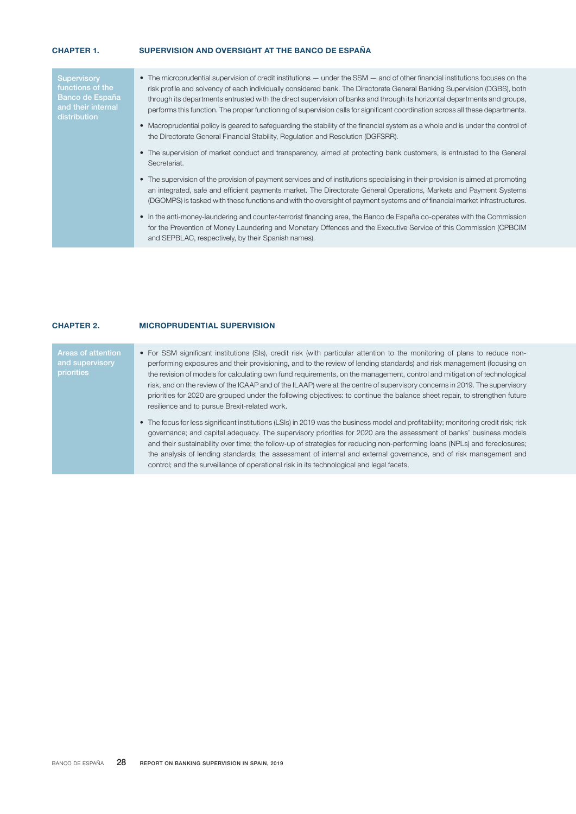# CHAPTER 1. SUPERVISION AND OVERSIGHT AT THE BANCO DE ESPAÑA

| Supervisory<br>functions of the<br>Banco de España<br>and their internal<br>distribution | • The microprudential supervision of credit institutions — under the SSM — and of other financial institutions focuses on the<br>risk profile and solvency of each individually considered bank. The Directorate General Banking Supervision (DGBS), both<br>through its departments entrusted with the direct supervision of banks and through its horizontal departments and groups,<br>performs this function. The proper functioning of supervision calls for significant coordination across all these departments.<br>• Macroprudential policy is geared to safeguarding the stability of the financial system as a whole and is under the control of<br>the Directorate General Financial Stability, Regulation and Resolution (DGFSRR).<br>• The supervision of market conduct and transparency, aimed at protecting bank customers, is entrusted to the General<br>Secretariat.<br>• The supervision of the provision of payment services and of institutions specialising in their provision is aimed at promoting<br>an integrated, safe and efficient payments market. The Directorate General Operations, Markets and Payment Systems<br>(DGOMPS) is tasked with these functions and with the oversight of payment systems and of financial market infrastructures. |
|------------------------------------------------------------------------------------------|----------------------------------------------------------------------------------------------------------------------------------------------------------------------------------------------------------------------------------------------------------------------------------------------------------------------------------------------------------------------------------------------------------------------------------------------------------------------------------------------------------------------------------------------------------------------------------------------------------------------------------------------------------------------------------------------------------------------------------------------------------------------------------------------------------------------------------------------------------------------------------------------------------------------------------------------------------------------------------------------------------------------------------------------------------------------------------------------------------------------------------------------------------------------------------------------------------------------------------------------------------------------------------|
|                                                                                          | • In the anti-money-laundering and counter-terrorist financing area, the Banco de España co-operates with the Commission<br>for the Prevention of Money Laundering and Monetary Offences and the Executive Service of this Commission (CPBCIM<br>and SEPBLAC, respectively, by their Spanish names).                                                                                                                                                                                                                                                                                                                                                                                                                                                                                                                                                                                                                                                                                                                                                                                                                                                                                                                                                                             |
|                                                                                          |                                                                                                                                                                                                                                                                                                                                                                                                                                                                                                                                                                                                                                                                                                                                                                                                                                                                                                                                                                                                                                                                                                                                                                                                                                                                                  |

# CHAPTER 2. MICROPRUDENTIAL SUPERVISION

| Areas of attention<br>and supervisory<br>priorities | • For SSM significant institutions (SIs), credit risk (with particular attention to the monitoring of plans to reduce non-<br>performing exposures and their provisioning, and to the review of lending standards) and risk management (focusing on<br>the revision of models for calculating own fund requirements, on the management, control and mitigation of technological<br>risk, and on the review of the ICAAP and of the ILAAP) were at the centre of supervisory concerns in 2019. The supervisory<br>priorities for 2020 are grouped under the following objectives: to continue the balance sheet repair, to strengthen future<br>resilience and to pursue Brexit-related work. |
|-----------------------------------------------------|----------------------------------------------------------------------------------------------------------------------------------------------------------------------------------------------------------------------------------------------------------------------------------------------------------------------------------------------------------------------------------------------------------------------------------------------------------------------------------------------------------------------------------------------------------------------------------------------------------------------------------------------------------------------------------------------|
|                                                     | • The focus for less significant institutions (LSIs) in 2019 was the business model and profitability; monitoring credit risk; risk<br>governance; and capital adequacy. The supervisory priorities for 2020 are the assessment of banks' business models<br>and their sustainability over time; the follow-up of strategies for reducing non-performing loans (NPLs) and foreclosures;<br>the analysis of lending standards; the assessment of internal and external governance, and of risk management and<br>control; and the surveillance of operational risk in its technological and legal facets.                                                                                     |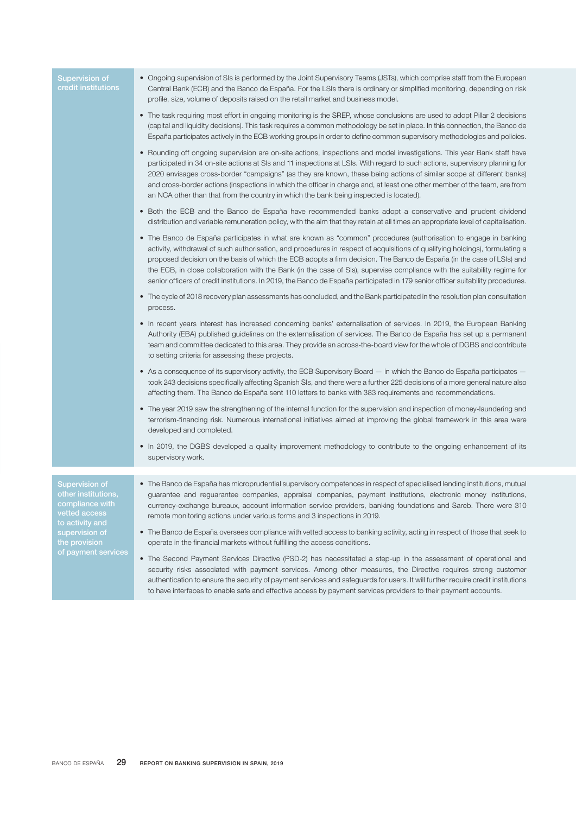| <b>Supervision of</b><br>credit institutions                                                                                                           | • Ongoing supervision of SIs is performed by the Joint Supervisory Teams (JSTs), which comprise staff from the European<br>Central Bank (ECB) and the Banco de España. For the LSIs there is ordinary or simplified monitoring, depending on risk<br>profile, size, volume of deposits raised on the retail market and business model.                                                                                                                                                                                                                                                                                                  |
|--------------------------------------------------------------------------------------------------------------------------------------------------------|-----------------------------------------------------------------------------------------------------------------------------------------------------------------------------------------------------------------------------------------------------------------------------------------------------------------------------------------------------------------------------------------------------------------------------------------------------------------------------------------------------------------------------------------------------------------------------------------------------------------------------------------|
|                                                                                                                                                        | • The task requiring most effort in ongoing monitoring is the SREP, whose conclusions are used to adopt Pillar 2 decisions<br>(capital and liquidity decisions). This task requires a common methodology be set in place. In this connection, the Banco de<br>España participates actively in the ECB working groups in order to define common supervisory methodologies and policies.                                                                                                                                                                                                                                                  |
|                                                                                                                                                        | • Rounding off ongoing supervision are on-site actions, inspections and model investigations. This year Bank staff have<br>participated in 34 on-site actions at SIs and 11 inspections at LSIs. With regard to such actions, supervisory planning for<br>2020 envisages cross-border "campaigns" (as they are known, these being actions of similar scope at different banks)<br>and cross-border actions (inspections in which the officer in charge and, at least one other member of the team, are from<br>an NCA other than that from the country in which the bank being inspected is located).                                   |
|                                                                                                                                                        | • Both the ECB and the Banco de España have recommended banks adopt a conservative and prudent dividend<br>distribution and variable remuneration policy, with the aim that they retain at all times an appropriate level of capitalisation.                                                                                                                                                                                                                                                                                                                                                                                            |
|                                                                                                                                                        | • The Banco de España participates in what are known as "common" procedures (authorisation to engage in banking<br>activity, withdrawal of such authorisation, and procedures in respect of acquisitions of qualifying holdings), formulating a<br>proposed decision on the basis of which the ECB adopts a firm decision. The Banco de España (in the case of LSIs) and<br>the ECB, in close collaboration with the Bank (in the case of SIs), supervise compliance with the suitability regime for<br>senior officers of credit institutions. In 2019, the Banco de España participated in 179 senior officer suitability procedures. |
|                                                                                                                                                        | • The cycle of 2018 recovery plan assessments has concluded, and the Bank participated in the resolution plan consultation<br>process.                                                                                                                                                                                                                                                                                                                                                                                                                                                                                                  |
|                                                                                                                                                        | • In recent years interest has increased concerning banks' externalisation of services. In 2019, the European Banking<br>Authority (EBA) published guidelines on the externalisation of services. The Banco de España has set up a permanent<br>team and committee dedicated to this area. They provide an across-the-board view for the whole of DGBS and contribute<br>to setting criteria for assessing these projects.                                                                                                                                                                                                              |
|                                                                                                                                                        | • As a consequence of its supervisory activity, the ECB Supervisory Board — in which the Banco de España participates —<br>took 243 decisions specifically affecting Spanish SIs, and there were a further 225 decisions of a more general nature also<br>affecting them. The Banco de España sent 110 letters to banks with 383 requirements and recommendations.                                                                                                                                                                                                                                                                      |
|                                                                                                                                                        | • The year 2019 saw the strengthening of the internal function for the supervision and inspection of money-laundering and<br>terrorism-financing risk. Numerous international initiatives aimed at improving the global framework in this area were<br>developed and completed.                                                                                                                                                                                                                                                                                                                                                         |
|                                                                                                                                                        | • In 2019, the DGBS developed a quality improvement methodology to contribute to the ongoing enhancement of its<br>supervisory work.                                                                                                                                                                                                                                                                                                                                                                                                                                                                                                    |
|                                                                                                                                                        |                                                                                                                                                                                                                                                                                                                                                                                                                                                                                                                                                                                                                                         |
| Supervision of<br>other institutions,<br>compliance with<br>vetted access<br>to activity and<br>supervision of<br>the provision<br>of payment services | • The Banco de España has microprudential supervisory competences in respect of specialised lending institutions, mutual<br>guarantee and reguarantee companies, appraisal companies, payment institutions, electronic money institutions,<br>currency-exchange bureaux, account information service providers, banking foundations and Sareb. There were 310<br>remote monitoring actions under various forms and 3 inspections in 2019.                                                                                                                                                                                               |
|                                                                                                                                                        | • The Banco de España oversees compliance with vetted access to banking activity, acting in respect of those that seek to<br>operate in the financial markets without fulfilling the access conditions.                                                                                                                                                                                                                                                                                                                                                                                                                                 |
|                                                                                                                                                        | • The Second Payment Services Directive (PSD-2) has necessitated a step-up in the assessment of operational and<br>security risks associated with payment services. Among other measures, the Directive requires strong customer<br>authentication to ensure the security of payment services and safeguards for users. It will further require credit institutions<br>to have interfaces to enable safe and effective access by payment services providers to their payment accounts.                                                                                                                                                  |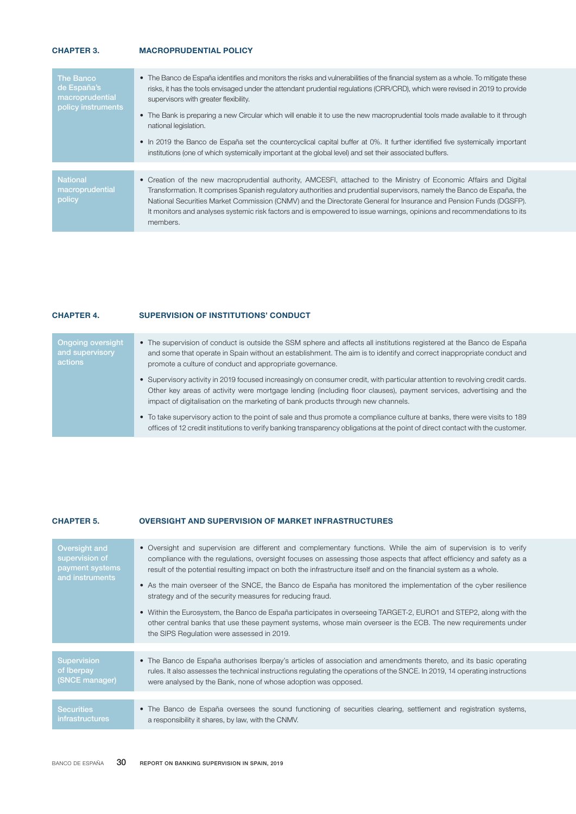# CHAPTER 3. MACROPRUDENTIAL POLICY

| The Banco<br>de España's<br>macroprudential<br>policy instruments | • The Banco de España identifies and monitors the risks and vulnerabilities of the financial system as a whole. To mitigate these<br>risks, it has the tools envisaged under the attendant prudential regulations (CRR/CRD), which were revised in 2019 to provide<br>supervisors with greater flexibility.<br>• The Bank is preparing a new Circular which will enable it to use the new macroprudential tools made available to it through<br>national legislation.<br>• In 2019 the Banco de España set the countercyclical capital buffer at 0%. It further identified five systemically important<br>institutions (one of which systemically important at the global level) and set their associated buffers. |
|-------------------------------------------------------------------|--------------------------------------------------------------------------------------------------------------------------------------------------------------------------------------------------------------------------------------------------------------------------------------------------------------------------------------------------------------------------------------------------------------------------------------------------------------------------------------------------------------------------------------------------------------------------------------------------------------------------------------------------------------------------------------------------------------------|
| <b>National</b><br>macroprudential<br>policy                      | • Creation of the new macroprudential authority, AMCESFI, attached to the Ministry of Economic Affairs and Digital<br>Transformation. It comprises Spanish regulatory authorities and prudential supervisors, namely the Banco de España, the<br>National Securities Market Commission (CNMV) and the Directorate General for Insurance and Pension Funds (DGSFP).<br>It monitors and analyses systemic risk factors and is empowered to issue warnings, opinions and recommendations to its<br>members.                                                                                                                                                                                                           |

### CHAPTER 4. SUPERVISION OF INSTITUTIONS' CONDUCT

| <b>Ongoing oversight</b><br>and supervisory<br>actions | • The supervision of conduct is outside the SSM sphere and affects all institutions registered at the Banco de España<br>and some that operate in Spain without an establishment. The aim is to identify and correct inappropriate conduct and<br>promote a culture of conduct and appropriate governance.                             |
|--------------------------------------------------------|----------------------------------------------------------------------------------------------------------------------------------------------------------------------------------------------------------------------------------------------------------------------------------------------------------------------------------------|
|                                                        | • Supervisory activity in 2019 focused increasingly on consumer credit, with particular attention to revolving credit cards.<br>Other key areas of activity were mortgage lending (including floor clauses), payment services, advertising and the<br>impact of digitalisation on the marketing of bank products through new channels. |
|                                                        | . To take supervisory action to the point of sale and thus promote a compliance culture at banks, there were visits to 189<br>offices of 12 credit institutions to verify banking transparency obligations at the point of direct contact with the customer.                                                                           |

#### CHAPTER 5. OVERSIGHT AND SUPERVISION OF MARKET INFRASTRUCTURES

| Oversight and<br>supervision of<br>payment systems<br>and instruments | • Oversight and supervision are different and complementary functions. While the aim of supervision is to verify<br>compliance with the regulations, oversight focuses on assessing those aspects that affect efficiency and safety as a<br>result of the potential resulting impact on both the infrastructure itself and on the financial system as a whole.<br>• As the main overseer of the SNCE, the Banco de España has monitored the implementation of the cyber resilience<br>strategy and of the security measures for reducing fraud.<br>• Within the Eurosystem, the Banco de España participates in overseeing TARGET-2, EURO1 and STEP2, along with the<br>other central banks that use these payment systems, whose main overseer is the ECB. The new requirements under<br>the SIPS Regulation were assessed in 2019. |
|-----------------------------------------------------------------------|--------------------------------------------------------------------------------------------------------------------------------------------------------------------------------------------------------------------------------------------------------------------------------------------------------------------------------------------------------------------------------------------------------------------------------------------------------------------------------------------------------------------------------------------------------------------------------------------------------------------------------------------------------------------------------------------------------------------------------------------------------------------------------------------------------------------------------------|
| Supervision                                                           | • The Banco de España authorises Iberpay's articles of association and amendments thereto, and its basic operating                                                                                                                                                                                                                                                                                                                                                                                                                                                                                                                                                                                                                                                                                                                   |
| of Iberpay<br>(SNCE manager)                                          | rules. It also assesses the technical instructions regulating the operations of the SNCE. In 2019, 14 operating instructions<br>were analysed by the Bank, none of whose adoption was opposed.                                                                                                                                                                                                                                                                                                                                                                                                                                                                                                                                                                                                                                       |
|                                                                       |                                                                                                                                                                                                                                                                                                                                                                                                                                                                                                                                                                                                                                                                                                                                                                                                                                      |
| <b>Securities</b><br>infrastructures                                  | • The Banco de España oversees the sound functioning of securities clearing, settlement and registration systems,<br>a responsibility it shares, by law, with the CNMV.                                                                                                                                                                                                                                                                                                                                                                                                                                                                                                                                                                                                                                                              |
|                                                                       |                                                                                                                                                                                                                                                                                                                                                                                                                                                                                                                                                                                                                                                                                                                                                                                                                                      |